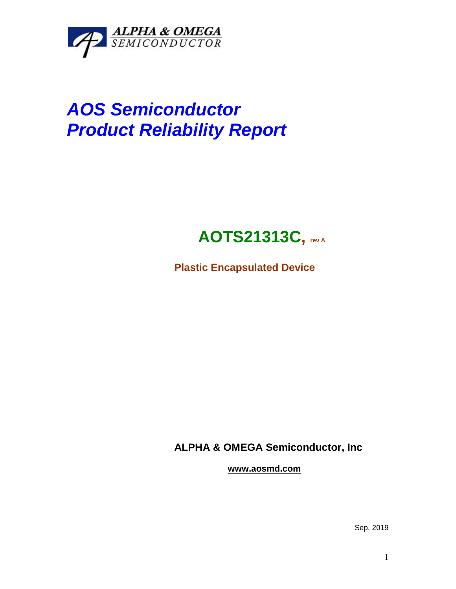

# *AOS Semiconductor Product Reliability Report*

## **AOTS21313C, rev <sup>A</sup>**

**Plastic Encapsulated Device**

**ALPHA & OMEGA Semiconductor, Inc**

**www.aosmd.com**

Sep, 2019